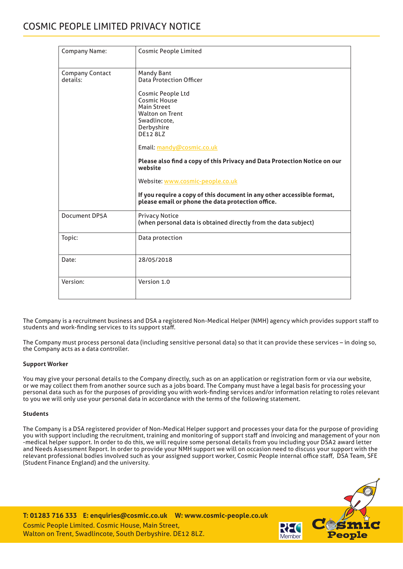## COSMIC PEOPLE LIMITED PRIVACY NOTICE

| Company Name:                      | <b>Cosmic People Limited</b>                                                                                                                                                                                                                                                                                                                                                                                                                                               |
|------------------------------------|----------------------------------------------------------------------------------------------------------------------------------------------------------------------------------------------------------------------------------------------------------------------------------------------------------------------------------------------------------------------------------------------------------------------------------------------------------------------------|
| <b>Company Contact</b><br>details: | <b>Mandy Bant</b><br>Data Protection Officer<br>Cosmic People Ltd<br>Cosmic House<br><b>Main Street</b><br><b>Walton on Trent</b><br>Swadlincote,<br>Derbyshire<br><b>DE12 8LZ</b><br>Email: mandy@cosmic.co.uk<br>Please also find a copy of this Privacy and Data Protection Notice on our<br>website<br>Website: www.cosmic-people.co.uk<br>If you require a copy of this document in any other accessible format,<br>please email or phone the data protection office. |
| Document DP5A                      | <b>Privacy Notice</b><br>(when personal data is obtained directly from the data subject)                                                                                                                                                                                                                                                                                                                                                                                   |
| Topic:                             | Data protection                                                                                                                                                                                                                                                                                                                                                                                                                                                            |
| Date:                              | 28/05/2018                                                                                                                                                                                                                                                                                                                                                                                                                                                                 |
| Version:                           | Version 1.0                                                                                                                                                                                                                                                                                                                                                                                                                                                                |

The Company is a recruitment business and DSA a registered Non-Medical Helper (NMH) agency which provides support staff to students and work-finding services to its support staff.

The Company must process personal data (including sensitive personal data) so that it can provide these services – in doing so, the Company acts as a data controller.

## **Support Worker**

You may give your personal details to the Company directly, such as on an application or registration form or via our website, or we may collect them from another source such as a jobs board. The Company must have a legal basis for processing your personal data such as for the purposes of providing you with work-finding services and/or information relating to roles relevant to you we will only use your personal data in accordance with the terms of the following statement.

## **Students**

The Company is a DSA registered provider of Non-Medical Helper support and processes your data for the purpose of providing you with support including the recruitment, training and monitoring of support staff and invoicing and management of your non -medical helper support. In order to do this, we will require some personal details from you including your DSA2 award letter and Needs Assessment Report. In order to provide your NMH support we will on occasion need to discuss your support with the relevant professional bodies involved such as your assigned support worker, Cosmic People internal office staff, DSA Team, SFE (Student Finance England) and the university.

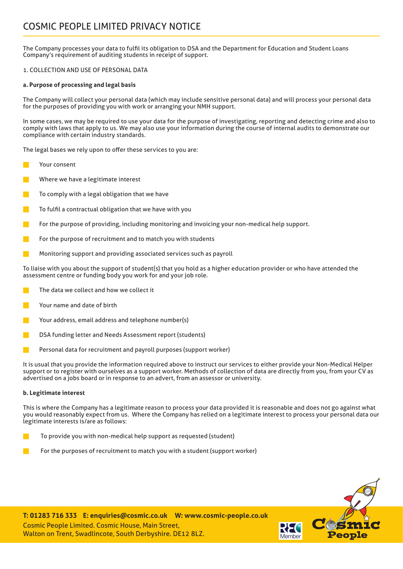## COSMIC PEOPLE LIMITED PRIVACY NOTICE

The Company processes your data to fulfil its obligation to DSA and the Department for Education and Student Loans Company's requirement of auditing students in receipt of support.

## 1. COLLECTION AND USE OF PERSONAL DATA

## **a. Purpose of processing and legal basis**

The Company will collect your personal data (which may include sensitive personal data) and will process your personal data for the purposes of providing you with work or arranging your NMH support.

In some cases, we may be required to use your data for the purpose of investigating, reporting and detecting crime and also to comply with laws that apply to us. We may also use your information during the course of internal audits to demonstrate our compliance with certain industry standards.

The legal bases we rely upon to offer these services to you are:

- Your consent
- Where we have a legitimate interest
- To comply with a legal obligation that we have
- To fulfil a contractual obligation that we have with you
- For the purpose of providing, including monitoring and invoicing your non-medical help support.
- For the purpose of recruitment and to match you with students
- Monitoring support and providing associated services such as payroll

To liaise with you about the support of student(s) that you hold as a higher education provider or who have attended the assessment centre or funding body you work for and your job role.

- The data we collect and how we collect it
- Your name and date of birth
- Your address, email address and telephone number(s)
- DSA funding letter and Needs Assessment report (students)
- Personal data for recruitment and payroll purposes (support worker)

It is usual that you provide the information required above to instruct our services to either provide your Non-Medical Helper support or to register with ourselves as a support worker. Methods of collection of data are directly from you, from your CV as advertised on a jobs board or in response to an advert, from an assessor or university.

## **b. Legitimate interest**

This is where the Company has a legitimate reason to process your data provided it is reasonable and does not go against what you would reasonably expect from us. Where the Company has relied on a legitimate interest to process your personal data our legitimate interests is/are as follows:

- To provide you with non-medical help support as requested (student)
- For the purposes of recruitment to match you with a student (support worker)

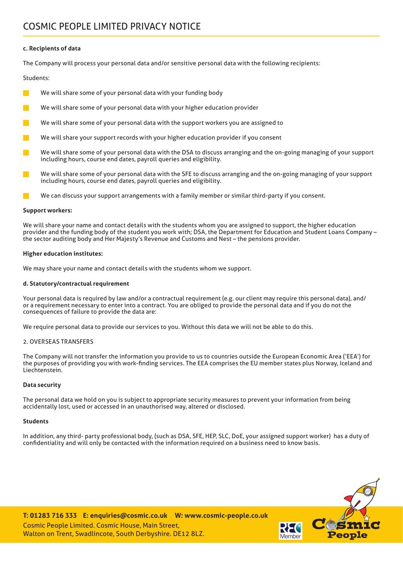### **c. Recipients of data**

The Company will process your personal data and/or sensitive personal data with the following recipients:

#### Students:

- We will share some of your personal data with your funding body
- We will share some of your personal data with your higher education provider
- We will share some of your personal data with the support workers you are assigned to
- We will share your support records with your higher education provider if you consent
- We will share some of your personal data with the DSA to discuss arranging and the on-going managing of your support including hours, course end dates, payroll queries and eligibility.
- We will share some of your personal data with the SFE to discuss arranging and the on-going managing of your support including hours, course end dates, payroll queries and eligibility.
- We can discuss your support arrangements with a family member or similar third-party if you consent.

#### **Support workers:**

We will share your name and contact details with the students whom you are assigned to support, the higher education provider and the funding body of the student you work with; DSA, the Department for Education and Student Loans Company – the sector auditing body and Her Majesty's Revenue and Customs and Nest – the pensions provider.

#### **Higher education institutes:**

We may share your name and contact details with the students whom we support.

#### **d. Statutory/contractual requirement**

Your personal data is required by law and/or a contractual requirement (e.g. our client may require this personal data), and/ or a requirement necessary to enter into a contract. You are obliged to provide the personal data and if you do not the consequences of failure to provide the data are:

We require personal data to provide our services to you. Without this data we will not be able to do this.

#### 2. OVERSEAS TRANSFERS

The Company will not transfer the information you provide to us to countries outside the European Economic Area ('EEA') for the purposes of providing you with work-finding services. The EEA comprises the EU member states plus Norway, Iceland and Liechtenstein.

#### **Data security**

The personal data we hold on you is subject to appropriate security measures to prevent your information from being accidentally lost, used or accessed in an unauthorised way, altered or disclosed.

#### **Students**

In addition, any third- party professional body, (such as DSA, SFE, HEP, SLC, DoE, your assigned support worker) has a duty of confidentiality and will only be contacted with the information required on a business need to know basis.

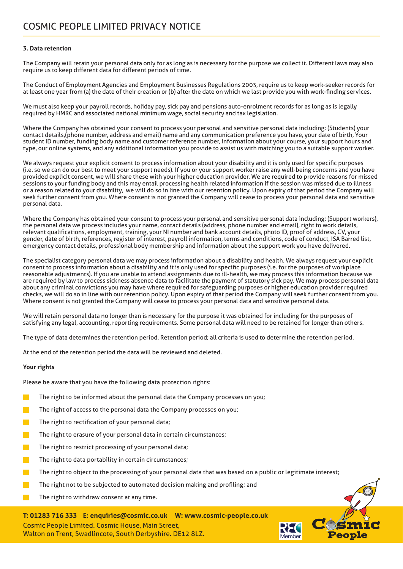## **3. Data retention**

The Company will retain your personal data only for as long as is necessary for the purpose we collect it. Different laws may also require us to keep different data for different periods of time.

The Conduct of Employment Agencies and Employment Businesses Regulations 2003, require us to keep work-seeker records for at least one year from (a) the date of their creation or (b) after the date on which we last provide you with work-finding services.

We must also keep your payroll records, holiday pay, sick pay and pensions auto-enrolment records for as long as is legally required by HMRC and associated national minimum wage, social security and tax legislation.

Where the Company has obtained your consent to process your personal and sensitive personal data including: (Students) your contact details,(phone number, address and email) name and any communication preference you have, your date of birth, Your student ID number, funding body name and customer reference number, information about your course, your support hours and type, our online systems, and any additional information you provide to assist us with matching you to a suitable support worker.

We always request your explicit consent to process information about your disability and it is only used for specific purposes (i.e. so we can do our best to meet your support needs). If you or your support worker raise any well-being concerns and you have provided explicit consent, we will share these with your higher education provider. We are required to provide reasons for missed sessions to your funding body and this may entail processing health related information if the session was missed due to illness or a reason related to your disability, we will do so in line with our retention policy. Upon expiry of that period the Company will seek further consent from you. Where consent is not granted the Company will cease to process your personal data and sensitive personal data.

Where the Company has obtained your consent to process your personal and sensitive personal data including: (Support workers), the personal data we process includes your name, contact details (address, phone number and email), right to work details, relevant qualifications, employment, training, your NI number and bank account details, photo ID, proof of address, CV, your gender, date of birth, references, register of interest, payroll information, terms and conditions, code of conduct, ISA Barred list, emergency contact details, professional body membership and information about the support work you have delivered.

The specialist category personal data we may process information about a disability and health. We always request your explicit consent to process information about a disability and it is only used for specific purposes (i.e. for the purposes of workplace reasonable adjustments). If you are unable to attend assignments due to ill-health, we may process this information because we are required by law to process sickness absence data to facilitate the payment of statutory sick pay. We may process personal data about any criminal convictions you may have where required for safeguarding purposes or higher education provider required checks, we will do so in line with our retention policy. Upon expiry of that period the Company will seek further consent from you. Where consent is not granted the Company will cease to process your personal data and sensitive personal data.

We will retain personal data no longer than is necessary for the purpose it was obtained for including for the purposes of satisfying any legal, accounting, reporting requirements. Some personal data will need to be retained for longer than others.

The type of data determines the retention period. Retention period; all criteria is used to determine the retention period.

At the end of the retention period the data will be reviewed and deleted.

## **Your rights**

Please be aware that you have the following data protection rights:

- The right to be informed about the personal data the Company processes on you;
- The right of access to the personal data the Company processes on you;
- The right to rectification of your personal data;
- The right to erasure of your personal data in certain circumstances;
- The right to restrict processing of your personal data;
- The right to data portability in certain circumstances;
- The right to object to the processing of your personal data that was based on a public or legitimate interest;

Member

- The right not to be subjected to automated decision making and profiling; and
- The right to withdraw consent at any time.

**T: 01283 716 333 E: enquiries@cosmic.co.uk W: www.cosmic-people.co.uk** Cosmic People Limited. Cosmic House, Main Street, Walton on Trent, Swadlincote, South Derbyshire. DE12 8LZ.